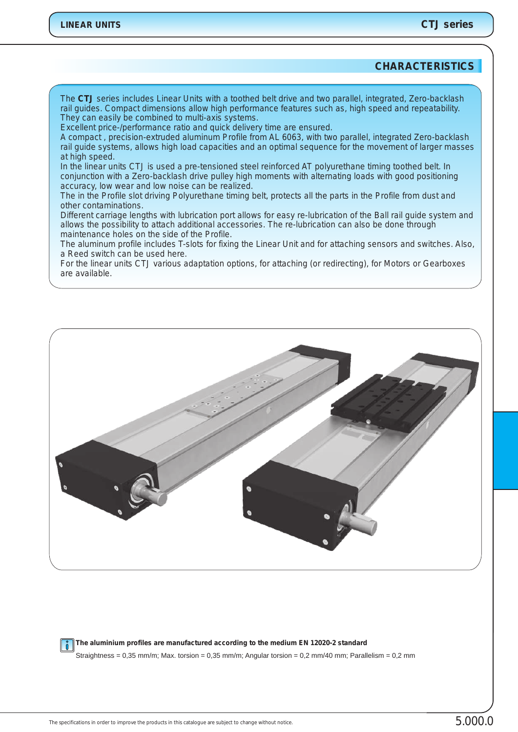# **CHARACTERISTICS**

*The CTJ series includes Linear Units with a toothed belt drive and two parallel, integrated, Zero-backlash rail guides. Compact dimensions allow high performance features such as, high speed and repeatability. They can easily be combined to multi-axis systems.*

*Excellent price-/performance ratio and quick delivery time are ensured.*

*A compact , precision-extruded aluminum Profile from AL 6063, with two parallel, integrated Zero-backlash rail guide systems, allows high load capacities and an optimal sequence for the movement of larger masses at high speed.*

*In the linear units CTJ is used a pre-tensioned steel reinforced AT polyurethane timing toothed belt. In conjunction with a Zero-backlash drive pulley high moments with alternating loads with good positioning accuracy, low wear and low noise can be realized.*

*The in the Profile slot driving Polyurethane timing belt, protects all the parts in the Profile from dust and other contaminations.* 

*Different carriage lengths with lubrication port allows for easy re-lubrication of the Ball rail guide system and allows the possibility to attach additional accessories. The re-lubrication can also be done through maintenance holes on the side of the Profile.*

*The aluminum profile includes T-slots for fixing the Linear Unit and for attaching sensors and switches. Also, a Reed switch can be used here.*

*For the linear units CTJ various adaptation options, for attaching (or redirecting), for Motors or Gearboxes are available.*



**The aluminium profiles are manufactured according to the medium EN 12020-2 standard**   $\vert \,$   $\degree$   $\vert$ 

Straightness = 0,35 mm/m; Max. torsion = 0,35 mm/m; Angular torsion = 0,2 mm/40 mm; Parallelism = 0,2 mm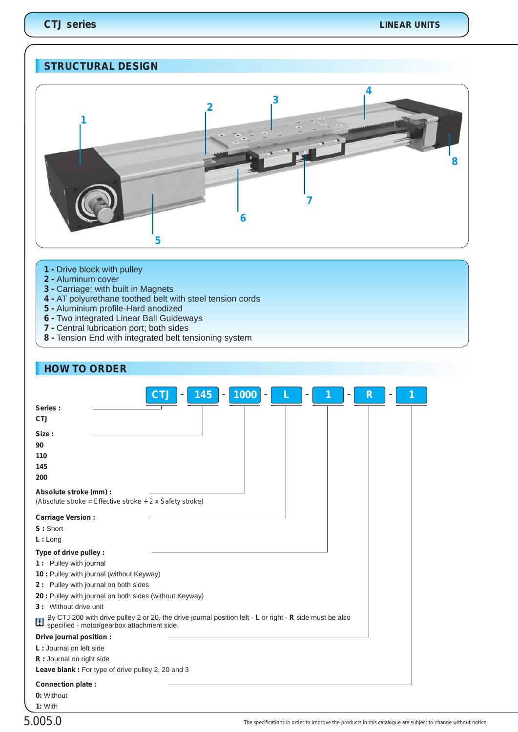# **STRUCTURAL DESIGN**



- **1**  Drive block with pulley
- **2 -** Aluminum cover
- **3** Carriage; with built in Magnets
- **4** AT polyurethane toothed belt with steel tension cords
- **5** Aluminium profile-Hard anodized
- **6** Two integrated Linear Ball Guideways
- **7** Central lubrication port; both sides
- **8** Tension End with integrated belt tensioning system

| <b>HOW TO ORDER</b>                                                                                                                                                             |
|---------------------------------------------------------------------------------------------------------------------------------------------------------------------------------|
| 1000<br>145<br><b>CTJ</b><br>R<br>٠<br>Series:<br><b>CTJ</b>                                                                                                                    |
| Size:<br>90<br>110<br>145<br>200                                                                                                                                                |
| Absolute stroke (mm) :<br>(Absolute stroke = Effective stroke $+ 2x$ Safety stroke)                                                                                             |
| <b>Carriage Version:</b>                                                                                                                                                        |
| S: Short                                                                                                                                                                        |
| L: Long                                                                                                                                                                         |
| Type of drive pulley :                                                                                                                                                          |
| 1 : Pulley with journal                                                                                                                                                         |
| 10 : Pulley with journal (without Keyway)                                                                                                                                       |
| 2: Pulley with journal on both sides                                                                                                                                            |
| 20 : Pulley with journal on both sides (without Keyway)                                                                                                                         |
| 3: Without drive unit                                                                                                                                                           |
| By CTJ 200 with drive pulley 2 or 20, the drive journal position left - L or right - R side must be also<br>$\boxed{\phantom{1}}$<br>specified - motor/gearbox attachment side. |
| Drive journal position :                                                                                                                                                        |
| L: Journal on left side                                                                                                                                                         |
| R: Journal on right side                                                                                                                                                        |
| <b>Leave blank:</b> For type of drive pulley 2, 20 and 3                                                                                                                        |
| Connection plate:<br>0: Without                                                                                                                                                 |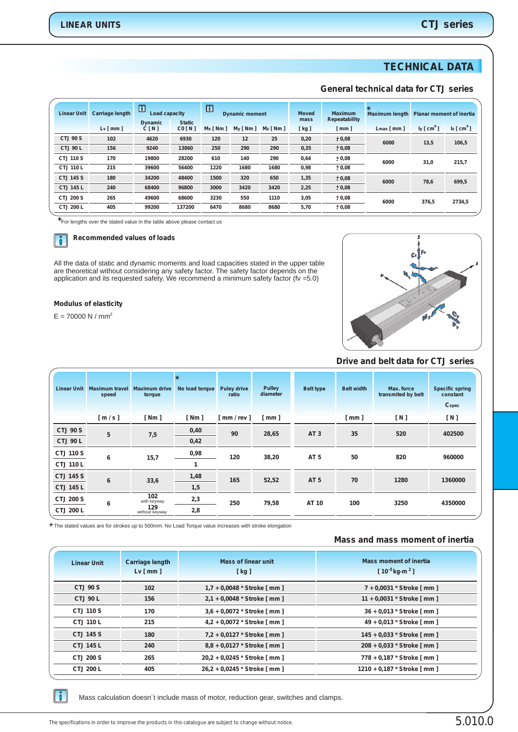# **TECHNICAL DATA**

### **General technical data for CTJ series**

| <b>Linear Unit</b> | <b>Carriage length</b> | $\boxed{1}$<br>Load capacity<br><b>Dynamic</b> | <b>Static</b> | $\Box$<br><b>Dynamic moment</b> |         | <b>Moved</b><br>mass | <b>Maximum</b><br>Repeatability | $\star$<br><b>Maximum length</b> | <b>Planar moment of inertia</b> |                        |                 |
|--------------------|------------------------|------------------------------------------------|---------------|---------------------------------|---------|----------------------|---------------------------------|----------------------------------|---------------------------------|------------------------|-----------------|
|                    | Lv[mm]                 | C[N]                                           | CO[N]         | $Mx$ [ Nm ]                     | My [Nm] | $Mz$ [ Nm ]          | [kg]                            | $\lceil$ mm $\rceil$             | $Lmax$ [ mm ]                   | ly [ cm <sup>4</sup> ] | $z \, [\,cm^4]$ |
| CTJ 90 S           | 102                    | 4620                                           | 6930          | 120                             | 12      | 25                   | 0,20                            | ± 0,08                           | 6000                            | 13,5                   | 106,5           |
| <b>CTJ 90 L</b>    | 156                    | 9240                                           | 13860         | 250                             | 290     | 290                  | 0,35                            | ±0,08                            |                                 |                        |                 |
| <b>CTJ 110 S</b>   | 170                    | 19800                                          | 28200         | 610                             | 140     | 290                  | 0,64                            | ± 0,08                           | 6000                            | 31,0                   | 215,7           |
| <b>CTJ 110 L</b>   | 215                    | 39600                                          | 56400         | 1220                            | 1680    | 1680                 | 0,98                            | ±0,08                            |                                 |                        |                 |
| <b>CTJ 145 S</b>   | 180                    | 34200                                          | 48400         | 1500                            | 320     | 650                  | 1,35                            | ± 0,08                           | 6000                            | 78,6                   | 699,5           |
| <b>CTJ 145 L</b>   | 240                    | 68400                                          | 96800         | 3000                            | 3420    | 3420                 | 2,25                            | ± 0,08                           |                                 |                        |                 |
| <b>CTJ 200 S</b>   | 265                    | 49600                                          | 68600         | 3230                            | 550     | 1110                 | 3,05                            | ± 0.08                           | 6000                            | 376,5                  | 2734,5          |
| CTJ 200 L          | 405                    | 99200                                          | 137200        | 6470                            | 8680    | 8680                 | 5,70                            | ± 0,08                           |                                 |                        |                 |
|                    |                        |                                                |               |                                 |         |                      |                                 |                                  |                                 |                        |                 |

**\***For lengths over the stated value in the table above please contact us



#### **Recommended values of loads**

All the data of static and dynamic moments and load capacities stated in the upper table are theoretical without considering any safety factor. The safety factor depends on the application and its requested safety. We recommend a minimum safety factor (fv =5.0)

#### **Modulus of elasticity**

 $E = 70000 N / mm<sup>2</sup>$ 



#### **Drive and belt data for CTJ series**

| <b>Linear Unit</b> | <b>Maximum travel</b><br>speed | <b>Maximum drive</b><br>torque | $\star$<br>No load torque | <b>Puley drive</b><br>ratio | Pulley<br>diameter | <b>Belt type</b> | <b>Belt width</b> | Max. force<br>transmited by belt | <b>Specific spring</b><br>constant<br><b>C</b> spec |
|--------------------|--------------------------------|--------------------------------|---------------------------|-----------------------------|--------------------|------------------|-------------------|----------------------------------|-----------------------------------------------------|
|                    | [m/s]                          | [ Nm ]                         | [ Nm ]                    | mm / rev ]                  | [ mm ]             |                  | [mm]              | [N]                              | [N]                                                 |
| <b>CTJ 90 S</b>    | 5                              | 7,5                            | 0,40                      | 90                          | 28,65              | AT <sub>3</sub>  | 35                | 520                              | 402500                                              |
| <b>CTJ 90 L</b>    |                                |                                | 0,42                      |                             |                    |                  |                   |                                  |                                                     |
| <b>CTJ 110 S</b>   | 6                              | 15,7                           | 0,98                      | 120                         | 38,20              | AT <sub>5</sub>  | 50                | 820                              | 960000                                              |
| <b>CTJ 110 L</b>   |                                |                                |                           |                             |                    |                  |                   |                                  |                                                     |
| <b>CTJ 145 S</b>   |                                | 6<br>33,6                      | 1,48                      | 165                         | 52,52              | AT <sub>5</sub>  | 70                | 1280                             | 1360000                                             |
| <b>CTJ 145 L</b>   |                                |                                | 1,5                       |                             |                    |                  |                   |                                  |                                                     |
| <b>CTJ 200 S</b>   | 6                              | 102<br>with keyway             | 2,3                       | 250                         | 79,58              | AT 10            | 100               | 3250                             | 4350000                                             |
| <b>CTJ 200 L</b>   |                                | 129<br>without keyway          | 2,8                       |                             |                    |                  |                   |                                  |                                                     |

The stated values are for strokes up to 500mm. No Load Torque value increases with stroke elongation \*

#### **Mass and mass moment of inertia**

| <b>Linear Unit</b> | <b>Carriage length</b><br>$Lv \mid mm \mid$ | <b>Mass of linear unit</b><br>[kg] | <b>Mass moment of inertia</b><br>$[10^{-5}$ kg·m <sup>2</sup> ] |
|--------------------|---------------------------------------------|------------------------------------|-----------------------------------------------------------------|
| <b>CTJ 90 S</b>    | 102                                         | 1,7 + 0,0048 $*$ Stroke [ mm ]     | 7 + 0,0031 * Stroke [ mm ]                                      |
| <b>CTJ 90 L</b>    | 156                                         | 2,1 + 0,0048 * Stroke [ mm ]       | 11 + 0,0031 * Stroke [ mm ]                                     |
| <b>CTJ 110 S</b>   | 170                                         | 3,6 + 0,0072 * Stroke [ mm ]       | 36 + 0,013 * Stroke [ mm ]                                      |
| <b>CTJ 110 L</b>   | 215                                         | 4,2 + 0,0072 * Stroke [ mm ]       | 49 + 0,013 * Stroke [ mm ]                                      |
| <b>CTJ 145 S</b>   | 180                                         | 7,2 + 0,0127 * Stroke [ mm ]       | 145 + 0,033 * Stroke [ mm ]                                     |
| <b>CTJ 145 L</b>   | 240                                         | 8,8 + 0,0127 * Stroke [ mm ]       | 208 + 0,033 * Stroke [ mm ]                                     |
| <b>CTJ 200 S</b>   | 265                                         | 20,2 + 0,0245 * Stroke [ mm ]      | 778 + 0,187 * Stroke [ mm ]                                     |
| <b>CTJ 200 L</b>   | 405                                         | 26,2 + 0,0245 * Stroke [ mm ]      | 1210 + 0,187 * Stroke [ mm ]                                    |

 $\begin{bmatrix} 0 \end{bmatrix}$ 

Mass calculation doesn´t include mass of motor, reduction gear, switches and clamps.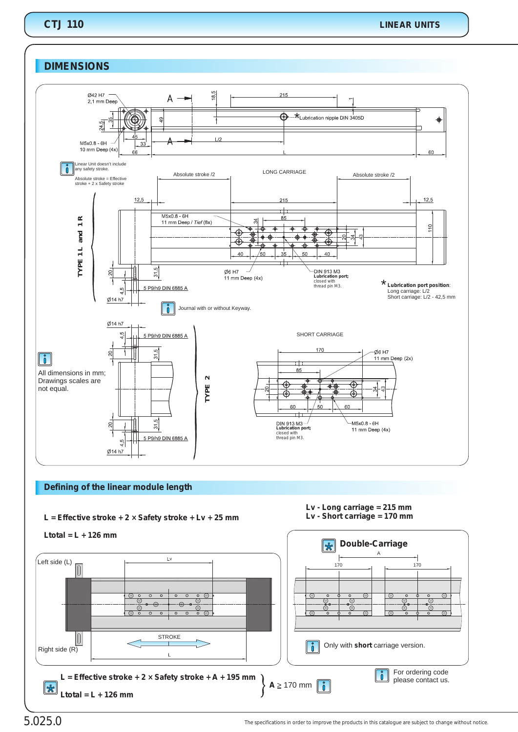# **DIMENSIONS**



## **Defining of the linear module length**

**L = + Lv Effective stroke + 2 × Safety stroke + 25 mm**



*Lv - Short carriage = 170 mm*



5.025.0